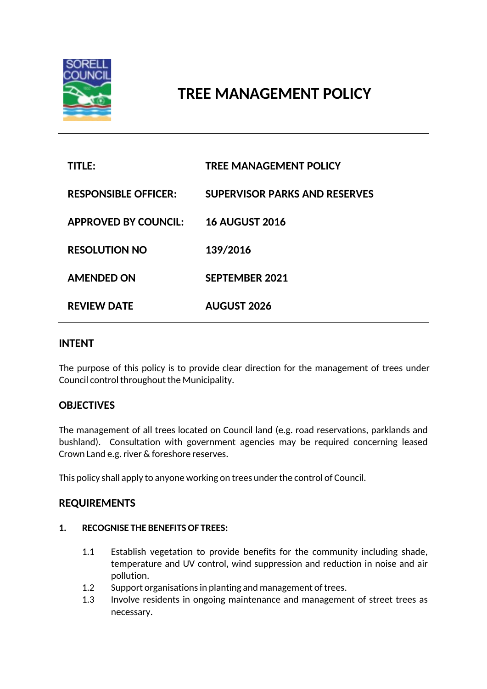

# **TREE MANAGEMENT POLICY**

| TITLE:                      | <b>TREE MANAGEMENT POLICY</b>        |
|-----------------------------|--------------------------------------|
| <b>RESPONSIBLE OFFICER:</b> | <b>SUPERVISOR PARKS AND RESERVES</b> |
| <b>APPROVED BY COUNCIL:</b> | <b>16 AUGUST 2016</b>                |
| <b>RESOLUTION NO</b>        | 139/2016                             |
| <b>AMENDED ON</b>           | <b>SEPTEMBER 2021</b>                |
| <b>REVIEW DATE</b>          | <b>AUGUST 2026</b>                   |

### **INTENT**

The purpose of this policy is to provide clear direction for the management of trees under Council control throughout the Municipality.

## **OBJECTIVES**

The management of all trees located on Council land (e.g. road reservations, parklands and bushland). Consultation with government agencies may be required concerning leased Crown Land e.g. river & foreshore reserves.

This policy shall apply to anyone working on trees under the control of Council.

### **REQUIREMENTS**

#### **1. RECOGNISE THE BENEFITS OF TREES:**

- 1.1 Establish vegetation to provide benefits for the community including shade, temperature and UV control, wind suppression and reduction in noise and air pollution.
- 1.2 Support organisations in planting and management of trees.
- 1.3 Involve residents in ongoing maintenance and management of street trees as necessary.